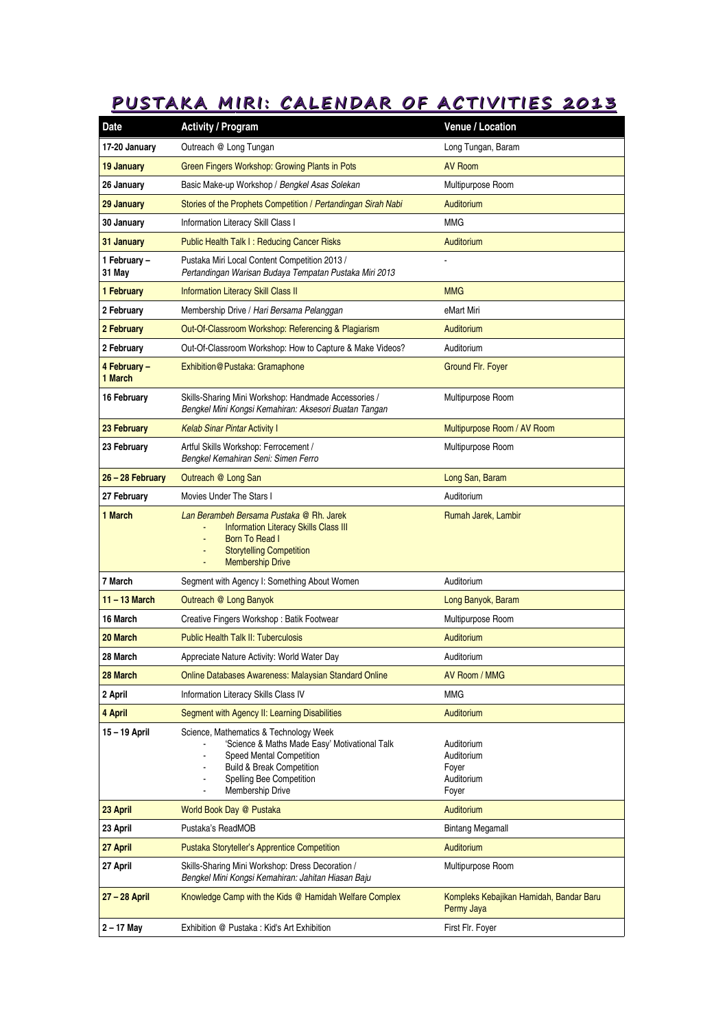## **PUSTAKA MIRI: CALENDAR OF ACTIVITIES 2013**

| <b>Date</b>             | <b>Activity / Program</b>                                                                                                                                                                                          | Venue / Location                                         |
|-------------------------|--------------------------------------------------------------------------------------------------------------------------------------------------------------------------------------------------------------------|----------------------------------------------------------|
| 17-20 January           | Outreach @ Long Tungan                                                                                                                                                                                             | Long Tungan, Baram                                       |
| <b>19 January</b>       | Green Fingers Workshop: Growing Plants in Pots                                                                                                                                                                     | <b>AV Room</b>                                           |
| 26 January              | Basic Make-up Workshop / Bengkel Asas Solekan                                                                                                                                                                      | Multipurpose Room                                        |
| 29 January              | Stories of the Prophets Competition / Pertandingan Sirah Nabi                                                                                                                                                      | <b>Auditorium</b>                                        |
| 30 January              | Information Literacy Skill Class I                                                                                                                                                                                 | MMG                                                      |
| 31 January              | Public Health Talk I: Reducing Cancer Risks                                                                                                                                                                        | Auditorium                                               |
| 1 February -<br>31 May  | Pustaka Miri Local Content Competition 2013 /<br>Pertandingan Warisan Budaya Tempatan Pustaka Miri 2013                                                                                                            |                                                          |
| 1 February              | <b>Information Literacy Skill Class II</b>                                                                                                                                                                         | <b>MMG</b>                                               |
| 2 February              | Membership Drive / Hari Bersama Pelanggan                                                                                                                                                                          | eMart Miri                                               |
| 2 February              | Out-Of-Classroom Workshop: Referencing & Plagiarism                                                                                                                                                                | <b>Auditorium</b>                                        |
| 2 February              | Out-Of-Classroom Workshop: How to Capture & Make Videos?                                                                                                                                                           | Auditorium                                               |
| 4 February –<br>1 March | <b>Exhibition@Pustaka: Gramaphone</b>                                                                                                                                                                              | <b>Ground Flr. Fover</b>                                 |
| 16 February             | Skills-Sharing Mini Workshop: Handmade Accessories /<br>Bengkel Mini Kongsi Kemahiran: Aksesori Buatan Tangan                                                                                                      | Multipurpose Room                                        |
| 23 February             | <b>Kelab Sinar Pintar Activity I</b>                                                                                                                                                                               | Multipurpose Room / AV Room                              |
| 23 February             | Artful Skills Workshop: Ferrocement /<br>Bengkel Kemahiran Seni: Simen Ferro                                                                                                                                       | Multipurpose Room                                        |
| 26 - 28 February        | Outreach @ Long San                                                                                                                                                                                                | Long San, Baram                                          |
| 27 February             | Movies Under The Stars I                                                                                                                                                                                           | Auditorium                                               |
| 1 March                 | Lan Berambeh Bersama Pustaka @ Rh. Jarek<br><b>Information Literacy Skills Class III</b><br><b>Born To Read I</b><br><b>Storytelling Competition</b><br><b>Membership Drive</b>                                    | Rumah Jarek, Lambir                                      |
| 7 March                 | Segment with Agency I: Something About Women                                                                                                                                                                       | Auditorium                                               |
| $11 - 13$ March         | Outreach @ Long Banyok                                                                                                                                                                                             | Long Banyok, Baram                                       |
| 16 March                | Creative Fingers Workshop: Batik Footwear                                                                                                                                                                          | Multipurpose Room                                        |
| 20 March                | <b>Public Health Talk II: Tuberculosis</b>                                                                                                                                                                         | Auditorium                                               |
| 28 March                | Appreciate Nature Activity: World Water Day                                                                                                                                                                        | Auditorium                                               |
| 28 March                | <b>Online Databases Awareness: Malaysian Standard Online</b>                                                                                                                                                       | AV Room / MMG                                            |
| 2 April                 | Information Literacy Skills Class IV                                                                                                                                                                               | MMG                                                      |
| 4 April                 | Segment with Agency II: Learning Disabilities                                                                                                                                                                      | <b>Auditorium</b>                                        |
| 15-19 April             | Science, Mathematics & Technology Week<br>'Science & Maths Made Easy' Motivational Talk<br>Speed Mental Competition<br>Build & Break Competition<br>Spelling Bee Competition<br>Membership Drive<br>$\blacksquare$ | Auditorium<br>Auditorium<br>Foyer<br>Auditorium<br>Foyer |
| 23 April                | World Book Day @ Pustaka                                                                                                                                                                                           | Auditorium                                               |
| 23 April                | Pustaka's ReadMOB                                                                                                                                                                                                  | Bintang Megamall                                         |
| 27 April                | <b>Pustaka Storyteller's Apprentice Competition</b>                                                                                                                                                                | Auditorium                                               |
| 27 April                | Skills-Sharing Mini Workshop: Dress Decoration /<br>Bengkel Mini Kongsi Kemahiran: Jahitan Hiasan Baju                                                                                                             | Multipurpose Room                                        |
| 27 - 28 April           | Knowledge Camp with the Kids @ Hamidah Welfare Complex                                                                                                                                                             | Kompleks Kebajikan Hamidah, Bandar Baru<br>Permy Jaya    |
| 2 – 17 May              | Exhibition @ Pustaka: Kid's Art Exhibition                                                                                                                                                                         | First Flr. Foyer                                         |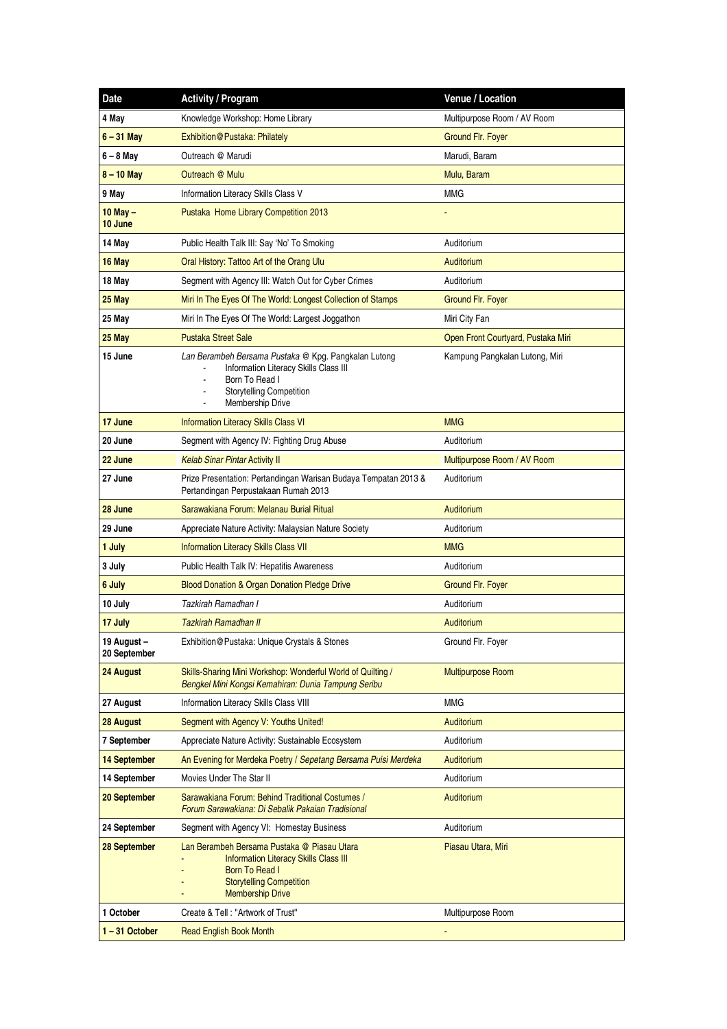| <b>Date</b>                 | <b>Activity / Program</b>                                                                                                                                                                | Venue / Location                   |
|-----------------------------|------------------------------------------------------------------------------------------------------------------------------------------------------------------------------------------|------------------------------------|
| 4 May                       | Knowledge Workshop: Home Library                                                                                                                                                         | Multipurpose Room / AV Room        |
| $6 - 31$ May                | Exhibition@Pustaka: Philately                                                                                                                                                            | <b>Ground Flr. Fover</b>           |
| $6 - 8$ May                 | Outreach @ Marudi                                                                                                                                                                        | Marudi, Baram                      |
| $8 - 10$ May                | Outreach @ Mulu                                                                                                                                                                          | Mulu, Baram                        |
| 9 May                       | Information Literacy Skills Class V                                                                                                                                                      | <b>MMG</b>                         |
| $10$ May $-$<br>10 June     | Pustaka Home Library Competition 2013                                                                                                                                                    |                                    |
| 14 May                      | Public Health Talk III: Say 'No' To Smoking                                                                                                                                              | Auditorium                         |
| 16 May                      | Oral History: Tattoo Art of the Orang Ulu                                                                                                                                                | Auditorium                         |
| 18 May                      | Segment with Agency III: Watch Out for Cyber Crimes                                                                                                                                      | Auditorium                         |
| 25 May                      | Miri In The Eyes Of The World: Longest Collection of Stamps                                                                                                                              | Ground Flr. Foyer                  |
| 25 May                      | Miri In The Eyes Of The World: Largest Joggathon                                                                                                                                         | Miri City Fan                      |
| 25 May                      | <b>Pustaka Street Sale</b>                                                                                                                                                               | Open Front Courtyard, Pustaka Miri |
| 15 June                     | Lan Berambeh Bersama Pustaka @ Kpg. Pangkalan Lutong<br>Information Literacy Skills Class III<br>Born To Read I<br>$\blacksquare$<br><b>Storytelling Competition</b><br>Membership Drive | Kampung Pangkalan Lutong, Miri     |
| 17 June                     | <b>Information Literacy Skills Class VI</b>                                                                                                                                              | <b>MMG</b>                         |
| 20 June                     | Segment with Agency IV: Fighting Drug Abuse                                                                                                                                              | Auditorium                         |
| 22 June                     | <b>Kelab Sinar Pintar Activity II</b>                                                                                                                                                    | Multipurpose Room / AV Room        |
| 27 June                     | Prize Presentation: Pertandingan Warisan Budaya Tempatan 2013 &<br>Pertandingan Perpustakaan Rumah 2013                                                                                  | Auditorium                         |
| 28 June                     | Sarawakiana Forum: Melanau Burial Ritual                                                                                                                                                 | Auditorium                         |
| 29 June                     | Appreciate Nature Activity: Malaysian Nature Society                                                                                                                                     | Auditorium                         |
| 1 July                      | <b>Information Literacy Skills Class VII</b>                                                                                                                                             | <b>MMG</b>                         |
| 3 July                      | Public Health Talk IV: Hepatitis Awareness                                                                                                                                               | Auditorium                         |
| 6 July                      | Blood Donation & Organ Donation Pledge Drive                                                                                                                                             | Ground Flr. Foyer                  |
| 10 July                     | Tazkirah Ramadhan I                                                                                                                                                                      | Auditorium                         |
| 17 July                     | Tazkirah Ramadhan II                                                                                                                                                                     | Auditorium                         |
| 19 August –<br>20 September | Exhibition@Pustaka: Unique Crystals & Stones                                                                                                                                             | Ground Flr. Foyer                  |
| 24 August                   | Skills-Sharing Mini Workshop: Wonderful World of Quilting /<br>Bengkel Mini Kongsi Kemahiran: Dunia Tampung Seribu                                                                       | <b>Multipurpose Room</b>           |
| 27 August                   | Information Literacy Skills Class VIII                                                                                                                                                   | <b>MMG</b>                         |
| 28 August                   | Segment with Agency V: Youths United!                                                                                                                                                    | Auditorium                         |
| 7 September                 | Appreciate Nature Activity: Sustainable Ecosystem                                                                                                                                        | Auditorium                         |
| 14 September                | An Evening for Merdeka Poetry / Sepetang Bersama Puisi Merdeka                                                                                                                           | Auditorium                         |
| 14 September                | Movies Under The Star II                                                                                                                                                                 | Auditorium                         |
| 20 September                | Sarawakiana Forum: Behind Traditional Costumes /<br>Forum Sarawakiana: Di Sebalik Pakaian Tradisional                                                                                    | Auditorium                         |
| 24 September                | Segment with Agency VI: Homestay Business                                                                                                                                                | Auditorium                         |
| 28 September                | Lan Berambeh Bersama Pustaka @ Piasau Utara<br>Information Literacy Skills Class III<br><b>Born To Read I</b><br><b>Storytelling Competition</b><br><b>Membership Drive</b>              | Piasau Utara, Miri                 |
| 1 October                   | Create & Tell: "Artwork of Trust"                                                                                                                                                        | Multipurpose Room                  |
| $1 - 31$ October            | <b>Read English Book Month</b>                                                                                                                                                           |                                    |